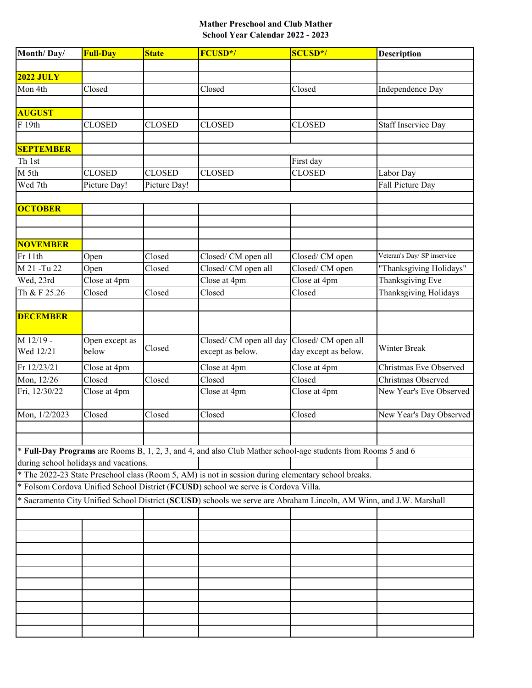## **Mather Preschool and Club Mather School Year Calendar 2022 - 2023**

| Month/Day/                                                                                                         | <b>Full-Day</b> | <b>State</b>  | FCUSD*/                                                                                                      | <b>SCUSD*/</b>             | <b>Description</b>          |  |  |  |  |
|--------------------------------------------------------------------------------------------------------------------|-----------------|---------------|--------------------------------------------------------------------------------------------------------------|----------------------------|-----------------------------|--|--|--|--|
|                                                                                                                    |                 |               |                                                                                                              |                            |                             |  |  |  |  |
| <b>2022 JULY</b>                                                                                                   |                 |               |                                                                                                              |                            |                             |  |  |  |  |
| Mon 4th                                                                                                            | Closed          |               | Closed                                                                                                       | Closed                     | Independence Day            |  |  |  |  |
|                                                                                                                    |                 |               |                                                                                                              |                            |                             |  |  |  |  |
| <b>AUGUST</b>                                                                                                      |                 |               |                                                                                                              |                            |                             |  |  |  |  |
| F 19th                                                                                                             | <b>CLOSED</b>   | <b>CLOSED</b> | <b>CLOSED</b>                                                                                                | <b>CLOSED</b>              | <b>Staff Inservice Day</b>  |  |  |  |  |
| <b>SEPTEMBER</b>                                                                                                   |                 |               |                                                                                                              |                            |                             |  |  |  |  |
| Th 1st                                                                                                             |                 |               |                                                                                                              |                            |                             |  |  |  |  |
| M 5th                                                                                                              | <b>CLOSED</b>   | <b>CLOSED</b> | <b>CLOSED</b>                                                                                                | First day<br><b>CLOSED</b> |                             |  |  |  |  |
| Wed 7th                                                                                                            |                 |               |                                                                                                              |                            | Labor Day                   |  |  |  |  |
|                                                                                                                    | Picture Day!    | Picture Day!  |                                                                                                              |                            | Fall Picture Day            |  |  |  |  |
| <b>OCTOBER</b>                                                                                                     |                 |               |                                                                                                              |                            |                             |  |  |  |  |
|                                                                                                                    |                 |               |                                                                                                              |                            |                             |  |  |  |  |
|                                                                                                                    |                 |               |                                                                                                              |                            |                             |  |  |  |  |
| <b>NOVEMBER</b>                                                                                                    |                 |               |                                                                                                              |                            |                             |  |  |  |  |
| Fr 11th                                                                                                            | Open            | Closed        | Closed/ CM open all                                                                                          | Closed/CM open             | Veteran's Day/ SP inservice |  |  |  |  |
| M 21 - Tu 22                                                                                                       | Open            | Closed        | Closed/ CM open all                                                                                          | Closed/CM open             | "Thanksgiving Holidays"     |  |  |  |  |
| Wed, 23rd                                                                                                          | Close at 4pm    |               | Close at 4pm                                                                                                 | Close at 4pm               | Thanksgiving Eve            |  |  |  |  |
| Th & F 25.26                                                                                                       | Closed          | Closed        | Closed                                                                                                       | Closed                     | Thanksgiving Holidays       |  |  |  |  |
|                                                                                                                    |                 |               |                                                                                                              |                            |                             |  |  |  |  |
| <b>DECEMBER</b>                                                                                                    |                 |               |                                                                                                              |                            |                             |  |  |  |  |
|                                                                                                                    |                 |               |                                                                                                              |                            |                             |  |  |  |  |
| M 12/19 -                                                                                                          | Open except as  |               | Closed/ CM open all day                                                                                      | Closed/ CM open all        |                             |  |  |  |  |
| Wed 12/21                                                                                                          | below           | Closed        | except as below.                                                                                             | day except as below.       | Winter Break                |  |  |  |  |
| Fr 12/23/21                                                                                                        | Close at 4pm    |               | Close at 4pm                                                                                                 | Close at 4pm               | Christmas Eve Observed      |  |  |  |  |
| Mon, 12/26                                                                                                         | Closed          | Closed        | Closed                                                                                                       | Closed                     | Christmas Observed          |  |  |  |  |
| Fri, 12/30/22                                                                                                      | Close at 4pm    |               | Close at 4pm                                                                                                 | Close at 4pm               | New Year's Eve Observed     |  |  |  |  |
|                                                                                                                    |                 |               |                                                                                                              |                            |                             |  |  |  |  |
| Mon, 1/2/2023                                                                                                      | Closed          | Closed        | Closed                                                                                                       | Closed                     | New Year's Day Observed     |  |  |  |  |
|                                                                                                                    |                 |               |                                                                                                              |                            |                             |  |  |  |  |
|                                                                                                                    |                 |               |                                                                                                              |                            |                             |  |  |  |  |
|                                                                                                                    |                 |               | * Full-Day Programs are Rooms B, 1, 2, 3, and 4, and also Club Mather school-age students from Rooms 5 and 6 |                            |                             |  |  |  |  |
| during school holidays and vacations.                                                                              |                 |               |                                                                                                              |                            |                             |  |  |  |  |
| * The 2022-23 State Preschool class (Room 5, AM) is not in session during elementary school breaks.                |                 |               |                                                                                                              |                            |                             |  |  |  |  |
| * Folsom Cordova Unified School District (FCUSD) school we serve is Cordova Villa.                                 |                 |               |                                                                                                              |                            |                             |  |  |  |  |
| * Sacramento City Unified School District (SCUSD) schools we serve are Abraham Lincoln, AM Winn, and J.W. Marshall |                 |               |                                                                                                              |                            |                             |  |  |  |  |
|                                                                                                                    |                 |               |                                                                                                              |                            |                             |  |  |  |  |
|                                                                                                                    |                 |               |                                                                                                              |                            |                             |  |  |  |  |
|                                                                                                                    |                 |               |                                                                                                              |                            |                             |  |  |  |  |
|                                                                                                                    |                 |               |                                                                                                              |                            |                             |  |  |  |  |
|                                                                                                                    |                 |               |                                                                                                              |                            |                             |  |  |  |  |
|                                                                                                                    |                 |               |                                                                                                              |                            |                             |  |  |  |  |
|                                                                                                                    |                 |               |                                                                                                              |                            |                             |  |  |  |  |
|                                                                                                                    |                 |               |                                                                                                              |                            |                             |  |  |  |  |
|                                                                                                                    |                 |               |                                                                                                              |                            |                             |  |  |  |  |
|                                                                                                                    |                 |               |                                                                                                              |                            |                             |  |  |  |  |
|                                                                                                                    |                 |               |                                                                                                              |                            |                             |  |  |  |  |